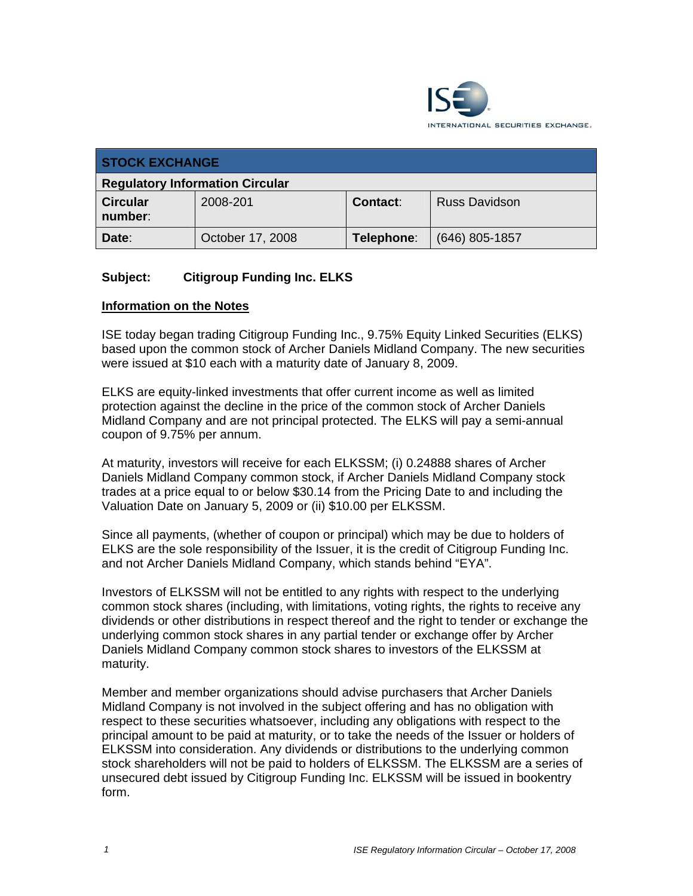

| <b>STOCK EXCHANGE</b>                  |                  |            |                      |  |  |
|----------------------------------------|------------------|------------|----------------------|--|--|
| <b>Regulatory Information Circular</b> |                  |            |                      |  |  |
| <b>Circular</b><br>number:             | 2008-201         | Contact:   | <b>Russ Davidson</b> |  |  |
| Date:                                  | October 17, 2008 | Telephone: | $(646)$ 805-1857     |  |  |

## **Subject: Citigroup Funding Inc. ELKS**

## **Information on the Notes**

ISE today began trading Citigroup Funding Inc., 9.75% Equity Linked Securities (ELKS) based upon the common stock of Archer Daniels Midland Company. The new securities were issued at \$10 each with a maturity date of January 8, 2009.

ELKS are equity-linked investments that offer current income as well as limited protection against the decline in the price of the common stock of Archer Daniels Midland Company and are not principal protected. The ELKS will pay a semi-annual coupon of 9.75% per annum.

At maturity, investors will receive for each ELKSSM; (i) 0.24888 shares of Archer Daniels Midland Company common stock, if Archer Daniels Midland Company stock trades at a price equal to or below \$30.14 from the Pricing Date to and including the Valuation Date on January 5, 2009 or (ii) \$10.00 per ELKSSM.

Since all payments, (whether of coupon or principal) which may be due to holders of ELKS are the sole responsibility of the Issuer, it is the credit of Citigroup Funding Inc. and not Archer Daniels Midland Company, which stands behind "EYA".

Investors of ELKSSM will not be entitled to any rights with respect to the underlying common stock shares (including, with limitations, voting rights, the rights to receive any dividends or other distributions in respect thereof and the right to tender or exchange the underlying common stock shares in any partial tender or exchange offer by Archer Daniels Midland Company common stock shares to investors of the ELKSSM at maturity.

Member and member organizations should advise purchasers that Archer Daniels Midland Company is not involved in the subject offering and has no obligation with respect to these securities whatsoever, including any obligations with respect to the principal amount to be paid at maturity, or to take the needs of the Issuer or holders of ELKSSM into consideration. Any dividends or distributions to the underlying common stock shareholders will not be paid to holders of ELKSSM. The ELKSSM are a series of unsecured debt issued by Citigroup Funding Inc. ELKSSM will be issued in bookentry form.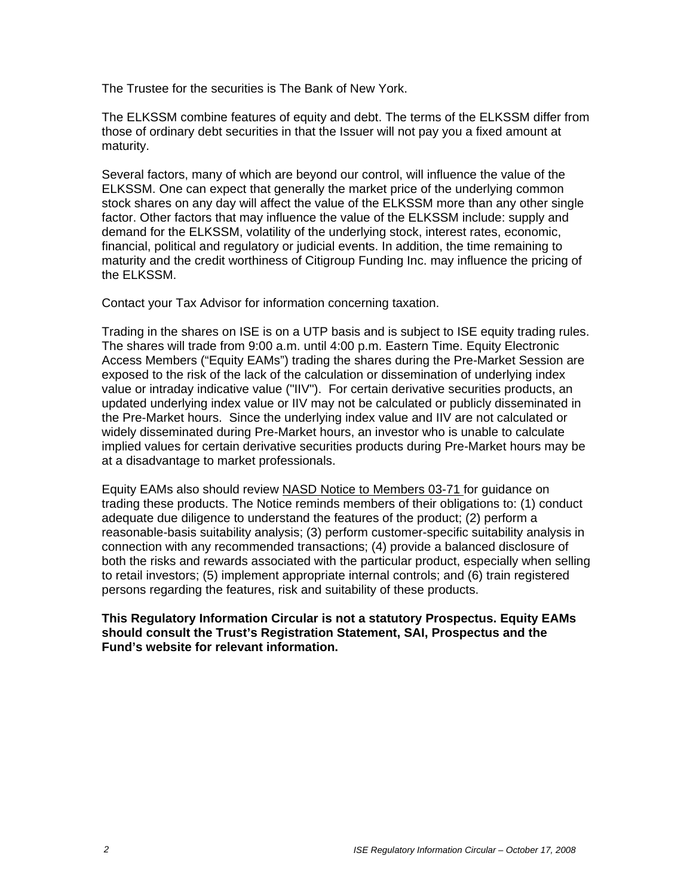The Trustee for the securities is The Bank of New York.

The ELKSSM combine features of equity and debt. The terms of the ELKSSM differ from those of ordinary debt securities in that the Issuer will not pay you a fixed amount at maturity.

Several factors, many of which are beyond our control, will influence the value of the ELKSSM. One can expect that generally the market price of the underlying common stock shares on any day will affect the value of the ELKSSM more than any other single factor. Other factors that may influence the value of the ELKSSM include: supply and demand for the ELKSSM, volatility of the underlying stock, interest rates, economic, financial, political and regulatory or judicial events. In addition, the time remaining to maturity and the credit worthiness of Citigroup Funding Inc. may influence the pricing of the ELKSSM.

Contact your Tax Advisor for information concerning taxation.

Trading in the shares on ISE is on a UTP basis and is subject to ISE equity trading rules. The shares will trade from 9:00 a.m. until 4:00 p.m. Eastern Time. Equity Electronic Access Members ("Equity EAMs") trading the shares during the Pre-Market Session are exposed to the risk of the lack of the calculation or dissemination of underlying index value or intraday indicative value ("IIV"). For certain derivative securities products, an updated underlying index value or IIV may not be calculated or publicly disseminated in the Pre-Market hours. Since the underlying index value and IIV are not calculated or widely disseminated during Pre-Market hours, an investor who is unable to calculate implied values for certain derivative securities products during Pre-Market hours may be at a disadvantage to market professionals.

Equity EAMs also should review NASD Notice to Members 03-71 for guidance on trading these products. The Notice reminds members of their obligations to: (1) conduct adequate due diligence to understand the features of the product; (2) perform a reasonable-basis suitability analysis; (3) perform customer-specific suitability analysis in connection with any recommended transactions; (4) provide a balanced disclosure of both the risks and rewards associated with the particular product, especially when selling to retail investors; (5) implement appropriate internal controls; and (6) train registered persons regarding the features, risk and suitability of these products.

**This Regulatory Information Circular is not a statutory Prospectus. Equity EAMs should consult the Trust's Registration Statement, SAI, Prospectus and the Fund's website for relevant information.**